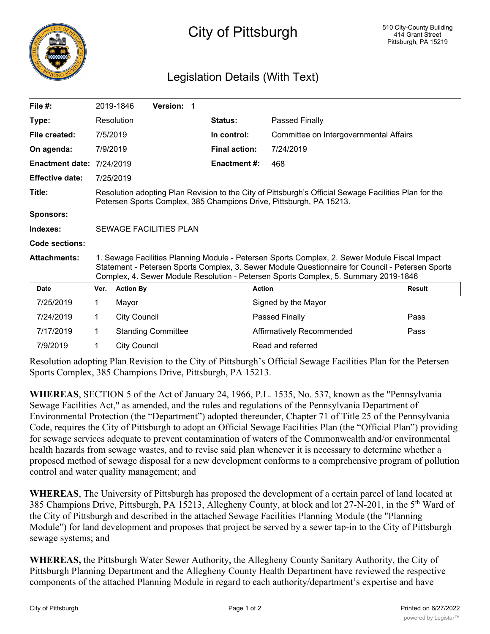

## City of Pittsburgh

## Legislation Details (With Text)

| File $#$ :             |                                                                                                                                                                                                                                                                                          | 2019-1846           | <b>Version: 1</b>         |  |                      |                                        |               |
|------------------------|------------------------------------------------------------------------------------------------------------------------------------------------------------------------------------------------------------------------------------------------------------------------------------------|---------------------|---------------------------|--|----------------------|----------------------------------------|---------------|
| Type:                  |                                                                                                                                                                                                                                                                                          | Resolution          |                           |  | Status:              | Passed Finally                         |               |
| File created:          | 7/5/2019                                                                                                                                                                                                                                                                                 |                     |                           |  | In control:          | Committee on Intergovernmental Affairs |               |
| On agenda:             | 7/9/2019                                                                                                                                                                                                                                                                                 |                     |                           |  | <b>Final action:</b> | 7/24/2019                              |               |
| <b>Enactment date:</b> | 7/24/2019                                                                                                                                                                                                                                                                                |                     |                           |  | <b>Enactment #:</b>  | 468                                    |               |
| <b>Effective date:</b> |                                                                                                                                                                                                                                                                                          | 7/25/2019           |                           |  |                      |                                        |               |
| Title:                 | Resolution adopting Plan Revision to the City of Pittsburgh's Official Sewage Facilities Plan for the<br>Petersen Sports Complex, 385 Champions Drive, Pittsburgh, PA 15213.                                                                                                             |                     |                           |  |                      |                                        |               |
| <b>Sponsors:</b>       |                                                                                                                                                                                                                                                                                          |                     |                           |  |                      |                                        |               |
| Indexes:               | <b>SEWAGE FACILITIES PLAN</b>                                                                                                                                                                                                                                                            |                     |                           |  |                      |                                        |               |
| <b>Code sections:</b>  |                                                                                                                                                                                                                                                                                          |                     |                           |  |                      |                                        |               |
| <b>Attachments:</b>    | 1. Sewage Facilities Planning Module - Petersen Sports Complex, 2. Sewer Module Fiscal Impact<br>Statement - Petersen Sports Complex, 3. Sewer Module Questionnaire for Council - Petersen Sports<br>Complex, 4. Sewer Module Resolution - Petersen Sports Complex, 5. Summary 2019-1846 |                     |                           |  |                      |                                        |               |
| <b>Date</b>            | Ver.                                                                                                                                                                                                                                                                                     | <b>Action By</b>    |                           |  |                      | <b>Action</b>                          | <b>Result</b> |
| 7/25/2019              | 1.                                                                                                                                                                                                                                                                                       | Mayor               |                           |  |                      | Signed by the Mayor                    |               |
| 7/24/2019              | 1                                                                                                                                                                                                                                                                                        | <b>City Council</b> |                           |  |                      | Passed Finally                         | Pass          |
| 7/17/2019              | 1                                                                                                                                                                                                                                                                                        |                     | <b>Standing Committee</b> |  |                      | Affirmatively Recommended              | Pass          |
| 7/9/2019               | 1                                                                                                                                                                                                                                                                                        | <b>City Council</b> |                           |  |                      | Read and referred                      |               |

Resolution adopting Plan Revision to the City of Pittsburgh's Official Sewage Facilities Plan for the Petersen Sports Complex, 385 Champions Drive, Pittsburgh, PA 15213.

**WHEREAS**, SECTION 5 of the Act of January 24, 1966, P.L. 1535, No. 537, known as the "Pennsylvania Sewage Facilities Act," as amended, and the rules and regulations of the Pennsylvania Department of Environmental Protection (the "Department") adopted thereunder, Chapter 71 of Title 25 of the Pennsylvania Code, requires the City of Pittsburgh to adopt an Official Sewage Facilities Plan (the "Official Plan") providing for sewage services adequate to prevent contamination of waters of the Commonwealth and/or environmental health hazards from sewage wastes, and to revise said plan whenever it is necessary to determine whether a proposed method of sewage disposal for a new development conforms to a comprehensive program of pollution control and water quality management; and

**WHEREAS**, The University of Pittsburgh has proposed the development of a certain parcel of land located at 385 Champions Drive, Pittsburgh, PA 15213, Allegheny County, at block and lot 27-N-201, in the 5th Ward of the City of Pittsburgh and described in the attached Sewage Facilities Planning Module (the "Planning Module") for land development and proposes that project be served by a sewer tap-in to the City of Pittsburgh sewage systems; and

**WHEREAS,** the Pittsburgh Water Sewer Authority, the Allegheny County Sanitary Authority, the City of Pittsburgh Planning Department and the Allegheny County Health Department have reviewed the respective components of the attached Planning Module in regard to each authority/department's expertise and have